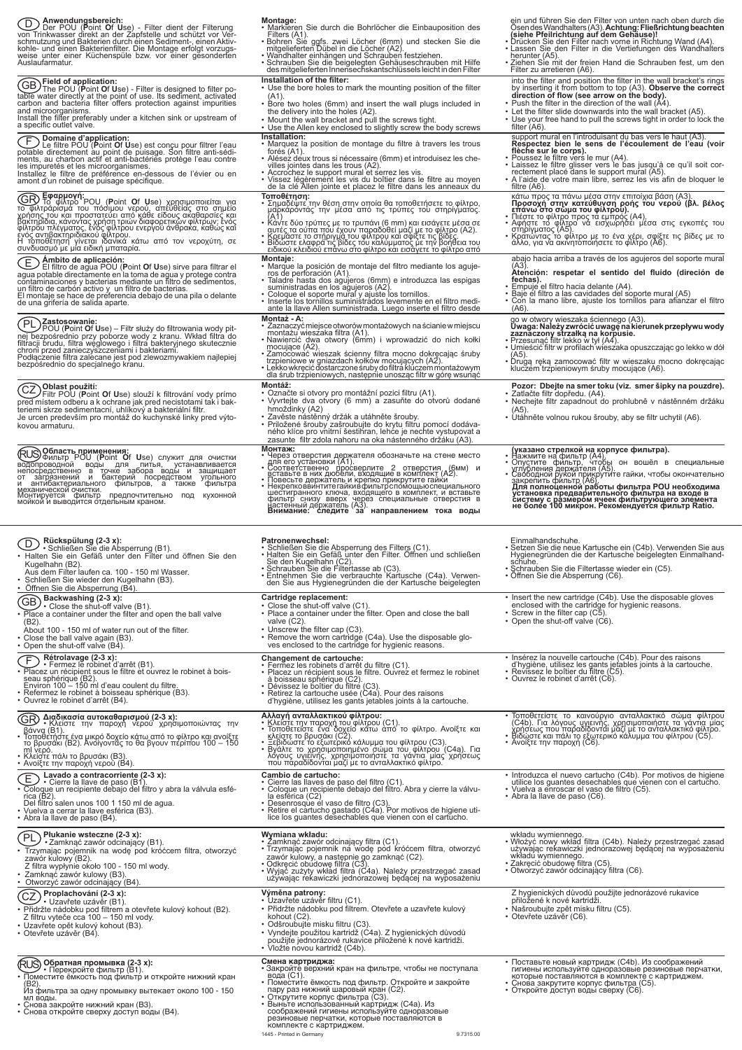| Anwendungsbereich:<br>$\left[ D\right]$<br>Der POU (Point Of Use) - Filter dient der Filterung<br>von Trinkwasser direkt an der Zapfstelle und schützt vor Ver-<br>schmutzung und Bakterien durch einen Sediment-, einen Aktiv-<br>kohle- und einen Bakterienfilter. Die Montage erfolgt vorzugs-<br>weise unter einer Küchenspüle bzw. vor einer gesonderten<br>Auslaufarmatur.                                                                              | Montage:<br>• Markieren Sie durch die Bohrlöcher die Einbauposition des<br>Filters (A1).<br>• Bohren Sié ggfs. zwei Löcher (6mm) und stecken Sie die<br>mitgelieferten Dübel in die Löcher (A2).<br>· Wandhalter einhängen und Schrauben festziehen.<br>• Schrauben Sie die beigelegten Gehäuseschrauben mit Hilfe<br>des mitgelieferten Innensechskantschlüssels leicht in den Filter<br>Installation of the filter:                                                                                                                                                                           | ein und führen Sie den Filter von unten nach oben durch die<br>Osen des Wandhalters (A3). Achtung: Fließrichtung beachten<br>(siehe Pfeilrichtung auf dem Gehäuse)!<br>• Drücken Sie den Filter nach vorne in Richtung Wand (A4).<br>• Lassen Sie den Filter in die Vertiefungen des Wandhalters<br>herunter (A5).<br>• Ziehen Sie mit der freien Hand die Schrauben fest, um den<br>Filter zu arretieren (A6).<br>into the filter and position the filter in the wall bracket's rings |
|---------------------------------------------------------------------------------------------------------------------------------------------------------------------------------------------------------------------------------------------------------------------------------------------------------------------------------------------------------------------------------------------------------------------------------------------------------------|-------------------------------------------------------------------------------------------------------------------------------------------------------------------------------------------------------------------------------------------------------------------------------------------------------------------------------------------------------------------------------------------------------------------------------------------------------------------------------------------------------------------------------------------------------------------------------------------------|----------------------------------------------------------------------------------------------------------------------------------------------------------------------------------------------------------------------------------------------------------------------------------------------------------------------------------------------------------------------------------------------------------------------------------------------------------------------------------------|
| GB) Field of application:<br>The POU ( <b>P</b> oint <b>O</b> f <b>U</b> se) - Filter is designed to filter po-<br>table water directly at the point of use. Its sediment, activated<br>carbon and bacteria filter offers protection against impurities<br>and microorganisms.<br>Install the filter preferably under a kitchen sink or upstream of<br>a specific outlet valve.                                                                               | • Use the bore holes to mark the mounting position of the filter<br>$(A1)$ .<br>• Bore two holes (6mm) and insert the wall plugs included in<br>the delivery into the holes (A2).<br>. Mount the wall bracket and pull the screws tight.<br>• Use the Allen key enclosed to slightly screw the body screws<br>Installation:                                                                                                                                                                                                                                                                     | by inserting it from bottom to top (A3). Observe the correct<br>direction of flow (see arrow on the body).<br>• Push the filter in the direction of the wall (A4).<br>• Let the filter slide downwards into the wall bracket (A5).<br>• Use your free hand to pull the screws tight in order to lock the<br>filter (A6).<br>support mural en l'introduisant du bas vers le haut (A3).                                                                                                  |
| Domaine d'application:<br>F.<br>Le filtre POU (Point Of Use) est conçu pour filtrer l'eau<br>potable directement au point de puisage. Son filtre anti-sédi-<br>ments, au charbon actif et anti-bactéries protège l'eau contre<br>les impuretés et les microorganismes.<br>Installez le filtre de préférence en-dessous de l'évier ou en<br>amont d'un robinet de puisage spécifique.                                                                          | • Marquez la position de montage du filtre à travers les trous<br>forés (A1).<br>• Alésez deux trous si nécessaire (6mm) et introduisez les che-<br>villes jointes dans les trous (A2).<br>• Accrochez le support mural et serrez les vis.<br>· Vissez légèrement les vis du boîtier dans le filtre au moyen<br>de la clé Allen jointe et placez le filtre dans les anneaux du                                                                                                                                                                                                                  | Respectez bien le sens de l'écoulement de l'eau (voir<br>flèche sur le corps).<br>· Poussez le filtre vers le mur (A4).<br>. Laissez le filtre glisser vers le bas jusqu'à ce qu'il soit cor-<br>rectement placé dans le support mural (A5).<br>• A l'aide de votre main libre, serrez les vis afin de bloquer le<br>filtre (A6).                                                                                                                                                      |
| <b>CO Εφαρμογή:</b><br>το φίλτρο POU (Point Of Use) χρησιμοποιείται για<br>το φίλτράρισμα του πόσιμου νερού, απευθείας στο σημείο<br>χρήσης του και προστατεύει από κάθε είδους ακαθαρσίες και<br>βακτηρίδια, κάνοντας χρήση τριών διαφορετικών φίλτρων: ένός<br>φίλτρου πλέγματος, ένός φίλτρου ενεργού άνθρακα, καθώς και<br>ένός αντιβακτηριδιάκού φίλτρου.<br>Η τοποθέτηση γίνεται ιδανικά κάτω από τον νεροχύτη, σε<br>συνδυασμό με μία ειδική μπαταρία. | Τοποθέτηση:<br>• Σημαδέψτε την θέση στην οποία θα τοποθετήσετε το φίλτρο,<br>μαρκάροντάς την μέσα από τις τρύπες του στηρίγματος.<br>• Κάντε δύο τρύπες με το τρυπάνι (6 mm) και εισάγετε μέσα σε<br>αυτές τα ούπα που έχουν παραδοθεί μαζί με το φίλτρο (Α2).<br>• Κρεμάστε το στήριγμα του φίλτρου και σφίξτε τις βίδες<br>• Βίδώστε ελαφρά τις βίδες του καλύμματος με την βοήθεια του<br>ειδικού κλειδιού επάνω στο φίλτρο και εισάγετε το φίλτρο από                                                                                                                                       | κάτω προς τα πάνω μέσα στην επιτοίχια βάση (Α3).<br>Προσοχή στην κατεύθυνση ροής του νερού (βλ. βέλος<br>επάνω στο σώμα του φίλτρου).<br>• Πιέστε το φίλτρο προς τα εμπρός (Α4).<br>• Αφήστε το φίλτρο να εισχωρήσει μέσα στις εγκοπές του<br>στηρίγματος (Α5)<br>• Κρατώντας τὸ φίλτρο με το ένα χέρι, σφίξτε τις βίδες με το<br>άλλο, για να ακινητοποιήσετε το φίλτρο (A6).                                                                                                         |
| Ambito de aplicación:<br>匡<br>El filtro de agua POU (Point Of Use) sirve para filtrar el<br>agua potable directamente en la toma de agua y protege contra<br>contaminaciones y bacterias mediante un filtro de sedimentos,<br>un filtro de carbón activo y un filtro de bacterias.<br>El montaje se hace de preferencia debajo de una pila o delante<br>de una grifería de salida aparte.                                                                     | <b>Montaje:</b><br>. Marque la posición de montaje del filtro mediante los aguje-<br>ros de perforación (A1).<br>· Taladre hasta dos agujeros (6mm) e introduzca las espigas<br>suministradas en los agujeros (A2)<br>· Coloque el soporte mural y ajuste los tornillos.<br>• Inserte los tornillos suministrados levemente en el filtro medi-<br>ante la llave Allen suministrada. Luego inserte el filtro desde                                                                                                                                                                               | abajo hacia arriba a través de los agujeros del soporte mural<br>(A3).<br>Atención: respetar el sentido del fluido (direción de<br>fechas).<br>• Empuje el filtro hacia delante (A4).<br>• Baje el filtro a las cavidades del soporte mural (A5)<br>. Con la mano libre, ajuste los tornillos para afianzar el filtro<br>(A6)                                                                                                                                                          |
| PL)<br>.Zastosowanie:<br>POU (Point Of Use) - Filtr służy do filtrowania wody pit-<br>nej bezpośrednio przy poborze wody z kranu. Wkład filtra do<br>filtracji brudu, filtra węglowego i filtra bakteryjnego skutecznie<br>chroni przed zanieczyszczeniami i bakteriami.<br>Podłączenie filtra zalecane jest pod zlewozmywakiem najlepiej<br>bezpośrednio do specjalnego kranu.                                                                               | Montaż - A:<br>· Zaznaczyć miejsce otworów montażowych na ścianie w miejscu<br>montażu wieszaka filtra (A1).<br>· Nawiercić dwa otwory (6mm) i wprowadzić do nich kołki<br>mocujące (A2).<br>· Zamocować wieszak ścienny filtra mocno dokręcając śruby<br>trzpieniowe w gniazdach kołków mocujących (A2).<br>• Lekko wkręcić dostarczone śruby do filtrá klúczem montażowym<br>dla śrub trzpieniowych, następnie unosząc filtr w górę wsunąć                                                                                                                                                    | go w otwory wieszaka ściennego (A3).<br>Uwaga: Należy zwrócić uwagę na kierunek przepływu wody<br>zaznaczony strzałką na korpusie.<br>· Przesunąć filtr lekko w tył (A4).<br>· Umieścić filtr w profilach wieszaka opuszczając go lekko w dół<br>(A5).<br>• Drugą ręką zamocować filtr w wieszaku mocno dokręcając<br>kluczem trzpieniowym śruby mocujące (A6).                                                                                                                        |
| ∖Oblast použití:<br>ĆŹ<br>Filtr POU (Point Of Use) slouží k filtrování vody prímo<br>pred místem odberu a k ochrane jak pred necistotami tak i bak-<br>teriemi skrze sedimentacní, uhlíkový a bakteriální filtr.<br>Je urcen predevším pro montáž do kuchynské linky pred výto-<br>kovou armaturu.                                                                                                                                                            | Montáž:<br>• Označte si otvory pro montážní pozici filtru (A1).<br>• Vyvrtejte dva otvory (6 mm) a zasuňte do otvorů dodané<br>hmoždinky (A2)<br>• Zavěste nástěnný držák a utáhněte šrouby.<br>· Priložené šrouby zašroubujte do krytu filtru pomocí dodáva-<br>ného klíce pro vnitrní šestihran, lehće je nechte vystupovat a<br>zasunte filtr zdola nahoru na oka nástenného držáku (A3).                                                                                                                                                                                                    | Pozor: Dbejte na smer toku (viz. smer šipky na pouzdre).<br>• Zatlačte filtr dopředu. (A4).<br>· Nechejte filtr zapadnout do prohlubně v nástěnném držáku<br>( A5).<br>· Utáhněte volnou rukou šrouby, aby se filtr uchytil (A6).                                                                                                                                                                                                                                                      |
| <b>,Область применения:</b><br>Фильтр POU (Point Of Use) служит для очистки<br>водопроводной воды для питья, устанавливается<br>непосредственно в точке забора воды и защищает<br>от загрязнений и бактерий посредством угольного<br>и антибактериального фильтров, а также фильтра<br>механической очистки.<br>Монтируется                                                                                                                                   | Монтаж:<br><b>Монтаж:</b><br>• Через отверстия держателя обозначьте на стене место<br>• для его установки (А1).<br>• Соответственно просверлите 2 отверстия (6мм) и<br>• вставьте в них дюбели, входящие в комплект (А2).<br>• Повесьте держатель и крепко п                                                                                                                                                                                                                                                                                                                                    | (указано стрелкой на корпусе фильтра).<br>• Нажмите на фильтр (А4).<br>• Опустите фильтр, чтобы он вошёл в специальные<br>• Упубления держателя (А5).<br>• Свободной рукой прикрутите гайки, чтобы окончательно<br>• Свободной рукой прикрут                                                                                                                                                                                                                                           |
|                                                                                                                                                                                                                                                                                                                                                                                                                                                               |                                                                                                                                                                                                                                                                                                                                                                                                                                                                                                                                                                                                 |                                                                                                                                                                                                                                                                                                                                                                                                                                                                                        |
| Rückspülung (2-3 x):<br>$\overline{D}$<br>• Schließen Sie die Absperrung (B1).<br>· Halten Sie ein Gefäß unter den Filter und öffnen Sie den<br>Kugelhahn (B2).<br>Aus dem Filter laufen ca. 100 - 150 ml Wasser.<br>· Schließen Sie wieder den Kugelhahn (B3).                                                                                                                                                                                               | <b>Patronenwechsel:</b><br>· Schließen Sie die Absperrung des Filters (C1).<br>• Halten Sie ein Gefäß unter den Filter. Öffnen und schließen<br>Sie den Kugelhahn (C2).<br>• Schrauben Sie die Filtertasse ab (C3).<br>• Entnehmen Sie die verbrauchte Kartusche (C4a). Verwen-<br>den Sie aus Hygienegründen die der Kartusche beigelegten                                                                                                                                                                                                                                                     | Einmalhandschuhe.<br>· Setzen Sie die neue Kartusche ein (C4b). Verwenden Sie aus<br>Hygienegründen die der Kartusche beigelegten Einmalhand-<br>schuhe.<br>• Schrauben Sie die Filtertasse wieder ein (C5).<br>• Öffnen Sie die Absperrung (C6).                                                                                                                                                                                                                                      |
| · Öffnen Sie die Absperrung (B4).<br>Backwashing (2-3 x):<br>GB <sup>-</sup><br>$'$ Close the shut-off valve (B1).<br>• Place a container under the filter and open the ball valve<br>$(B2)$ .<br>About 100 - 150 ml of water run out of the filter.<br>• Close the ball valve again (B3).<br>• Open the shut-off valve (B4).                                                                                                                                 | Cartridge replacement:<br>• Close the shut-off valve (C1).<br>• Place a container under the filter. Open and close the ball<br>valve (C2).<br>• Unscrew the filter cap (C3).<br>• Remove the worn cartridge (C4a). Use the disposable glo-<br>ves enclosed to the cartridge for hygienic reasons.                                                                                                                                                                                                                                                                                               | • Insert the new cartridge (C4b). Use the disposable gloves<br>enclosed with the cartridge for hygienic reasons.<br>• Screw in the filter cap (C5).<br>• Open the shut-off valve (C6).                                                                                                                                                                                                                                                                                                 |
| <b>COMORT CONTRET (ESS)</b><br>• Placez un récipient sous le filtre et ouvrez le robinet à bois-<br>seau sphérique (B2).<br>Environ 100 – 150 ml d'eau coulent du filtre.<br>• Refermez le robinet à boisseau sphérique (B3).<br>• Ouvrez le robinet d'arrêt (B4).                                                                                                                                                                                            | Changement de cartouche:<br>• Fermez les robinets d'arrêt du filtre (C1).<br>• Placez un récipient sous le filtre. Ouvrez et fermez le robinet<br>à boisseau sphérique (C2).<br>• Dévissez le boîtier du filtre (C3).<br>· Retirez la cartouche usée (C4a). Pour des raisons<br>d'hygiène, utilisez les gants jetables joints à la cartouche.                                                                                                                                                                                                                                                   | · Insérez la nouvelle cartouche (C4b). Pour des raisons<br>d'hygiène, utilisez les gants jetables joints à la cartouche.<br>• Revissez le boîtier du filtre (C5).<br>• Ouvrez le robinet d'arrêt (C6).                                                                                                                                                                                                                                                                                 |
| ) <b>Διαδικασία αυτοκαθαρισμού (2-3 x):</b><br>• <u>Κλεί</u> στε την παροχή νερού χρησιμοποιώντας την<br>GR<br>ml vspó.<br>• Κλείστε πάλι το βρυσάκι (Β3).<br>• Ανοίξτε την παροχή νερού (Β4).                                                                                                                                                                                                                                                                |                                                                                                                                                                                                                                                                                                                                                                                                                                                                                                                                                                                                 | • Τοποθετείστε το καινούργιο ανταλλακτικό σώμα φίλτρου<br>(C4b). Για λόγους υγιεινής, χρησιμοποιήστε τα γάντια μίας<br>χρήσεως που παραδίδονται μαζί με το ανταλλακτικό φίλτρο.<br>• Βιδώστε και πάλι το εξωτερικό κάλυμμα του φίλτρου<br>• Ανοίξτε την παροχή (C6).                                                                                                                                                                                                                   |
| Lavado a contracorriente (2-3 x):<br>E<br>• Cierre la llave de paso (B1).<br>· Coloque un recipiente debajo del filtro y abra la válvula esfé-<br>rica $(B2)$ .<br>Del filtro salen unos 100 1 150 ml de agua.<br>· Vuelva a cerrar la llave esférica (B3).<br>• Abra la llave de paso (B4).                                                                                                                                                                  | <b>Αλλαγή ανταλλακτικού φίλτρου:</b><br>• Κλείστε την παροχή του φίλτρου (C1).<br>• Τοποθετείστε ένα δοχείο κάτω από το φίλτρο. Ανοίξτε και<br><u>κλεί</u> στε το βρυσάκι (C2).<br>• Ξεβιδώστε το εξωτερικό κάλυμμα του φίλτρου (C3).<br>• Βγάλτε το χ<br>Cambio de cartucho:<br>· Cierre las llaves de paso del filtro (C1).<br>· Coloque un recipiente debajo del filtro. Abra y cierre la válvu-<br>la esférica (C2)<br>• Desenrosque el vaso de filtro (C3).<br>• Retire el cartucho gastado (C4a). Por motivos de higiene uti-<br>lice los guantes desechables que vienen con el cartucho. | · Introduzca el nuevo cartucho (C4b). Por motivos de higiene<br>utilice los guantes desechables que vienen con el cartucho.<br>• Vuelva a enroscar el vaso de filtro (C5).<br>• Abra la llave de paso (C6).                                                                                                                                                                                                                                                                            |
| Płukanie wsteczne (2-3 x):<br>PL<br>•Zamknąć zawór odcinający (B1).<br>Trzymając pojemnik na wodę pod króćcem filtra, otworzyć<br>zawór kulowy (B2).<br>Z filtra wypłynie około 100 - 150 ml wody.<br>· Zamknąć zawór kulowy (B3).<br>Otworzyć zawór odcinający (B4).                                                                                                                                                                                         | Wymiana wkładu:<br>• Žamknąć zawór odcinający filtra (C1).<br>· Trzymając pojemnik na wodę pod króćcem filtra, otworzyć<br>zawór kulowy, a następnie go zamknąć (C2).<br>• Odkręcić obudowę filtra (C3).<br>• Wyjąć zużyty wkład filtra (C4a). Należy przestrzegać zasad<br>używając rekawiczki jednorazowej będącej na wyposażeniu                                                                                                                                                                                                                                                             | wkładu wymiennego.<br>· Włożyć nowy wkład filtra (C4b). Należy przestrzegać zasad<br>używając rekawiczki jednorazowej będącej na wyposażeniu<br>wkładú wymiennego.<br>• Zakręcić óbudowę filtra (C5).<br>• Otworzyć zawór odcinający filtra (C6).                                                                                                                                                                                                                                      |
| Proplachování (2-3 x):<br>ĆŹ<br>' • Uzavřete uzávěr (B1).<br>· Přidržte nádobku pod filtrem a otevřete kulový kohout (B2).<br>Z filtru vyteče cca 100 - 150 ml vody.<br>· Uzavřete opět kulový kohout (B3).<br>• Otevřete uzávěr (B4).                                                                                                                                                                                                                        | Výměna patrony:<br>· Uzavřete uzávěr filtru (C1).<br>· Přidržte nádobku pod filtrem. Otevřete a uzavřete kulový<br>kohout (C2).<br>• Odšroubujte misku filtru (C3).<br>· Vyndejte použitou kartridž (Ć4a). Z hygienických důvodů<br>použijte jednorázové rukavice přiložené k nové kartridži.<br>· Vložte novou kartridž (C4b).                                                                                                                                                                                                                                                                 | Z hygienických důvodů použijte jednorázové rukavice<br>přiložené k nové kartridži.<br>· Našroubujte zpět misku filtru (C5).<br>• Otevřete uzávěr (C6).                                                                                                                                                                                                                                                                                                                                 |